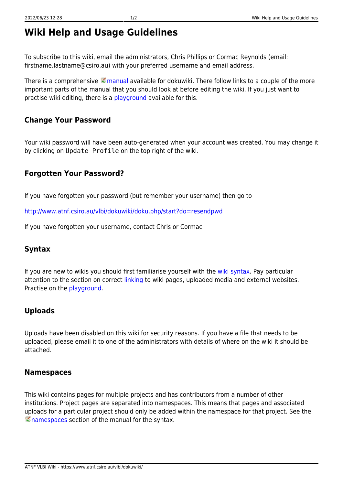# **Wiki Help and Usage Guidelines**

To subscribe to this wiki, email the administrators, Chris Phillips or Cormac Reynolds (email: firstname.lastname@csiro.au) with your preferred username and email address.

There is a comprehensive  $\leq$  [manual](https://www.dokuwiki.org/manual) available for dokuwiki. There follow links to a couple of the more important parts of the manual that you should look at before editing the wiki. If you just want to practise wiki editing, there is a [playground](https://www.atnf.csiro.au/vlbi/dokuwiki/doku.php/playground/playground) available for this.

# **Change Your Password**

Your wiki password will have been auto-generated when your account was created. You may change it by clicking on Update Profile on the top right of the wiki.

# **Forgotten Your Password?**

If you have forgotten your password (but remember your username) then go to

<http://www.atnf.csiro.au/vlbi/dokuwiki/doku.php/start?do=resendpwd>

If you have forgotten your username, contact Chris or Cormac

### **Syntax**

If you are new to wikis you should first familiarise yourself with the [wiki syntax](https://www.atnf.csiro.au/vlbi/dokuwiki/doku.php/wiki/syntax). Pay particular attention to the section on correct [linking](https://www.atnf.csiro.au/vlbi/dokuwiki/doku.php/wiki/syntax#links) to wiki pages, uploaded media and external websites. Practise on the [playground](https://www.atnf.csiro.au/vlbi/dokuwiki/doku.php/playground/playground).

# **Uploads**

Uploads have been disabled on this wiki for security reasons. If you have a file that needs to be uploaded, please email it to one of the administrators with details of where on the wiki it should be attached.

### **Namespaces**

This wiki contains pages for multiple projects and has contributors from a number of other institutions. Project pages are separated into namespaces. This means that pages and associated uploads for a particular project should only be added within the namespace for that project. See the **E** [namespaces](https://www.dokuwiki.org/namespaces) section of the manual for the syntax.